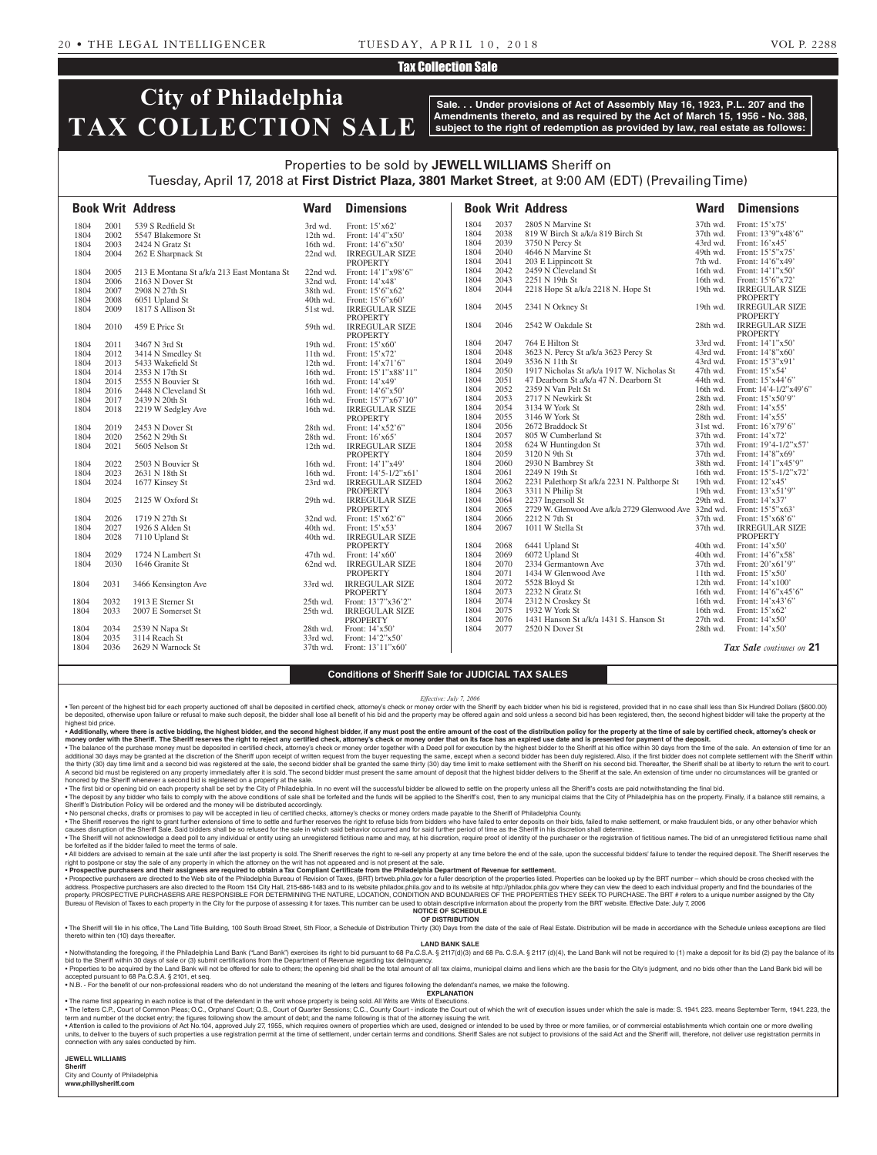## Tax Collection Sale

# **City of Philadelphia TAX COLLECTION SALE**

**Sale. . . Under provisions of Act of Assembly May 16, 1923, P.L. 207 and the Amendments thereto, and as required by the Act of March 15, 1956 - No. 388, subject to the right of redemption as provided by law, real estate as follows:**

## Properties to be sold by **JEWELL WILLIAMS** Sheriff on Tuesday, April 17, 2018 at **First District Plaza, 3801 Market Street**, at 9:00 AM (EDT) (Prevailing Time)

|      |      | <b>Book Writ Address</b>                   | <b>Ward</b> | <b>Dimensions</b>                        |      |      | <b>Book Writ Address</b>                              | <b>Ward</b> | <b>Dimensions</b>        |
|------|------|--------------------------------------------|-------------|------------------------------------------|------|------|-------------------------------------------------------|-------------|--------------------------|
| 1804 | 2001 | 539 S Redfield St                          | 3rd wd.     | Front: $15'x62'$                         | 1804 | 2037 | 2805 N Marvine St                                     | 37th wd.    | Front: 15'x75'           |
| 1804 | 2002 | 5547 Blakemore St                          | $12th$ wd.  | Front: $14'4''x50'$                      | 1804 | 2038 | 819 W Birch St a/k/a 819 Birch St                     | 37th wd.    | Front: 13'9"x48'6"       |
| 1804 | 2003 | 2424 N Gratz St                            | 16th wd.    | Front: 14'6"x50"                         | 1804 | 2039 | 3750 N Percy St                                       | 43rd wd.    | Front: 16'x45'           |
| 1804 | 2004 | 262 E Sharpnack St                         | $22nd$ wd.  | <b>IRREGULAR SIZE</b>                    | 1804 | 2040 | 4646 N Marvine St                                     | 49th wd.    | Front: 15'5"x75'         |
|      |      |                                            |             | <b>PROPERTY</b>                          | 1804 | 2041 | 203 E Lippincott St                                   | 7th wd.     | Front: $14'6''x49'$      |
| 1804 | 2005 | 213 E Montana St a/k/a 213 East Montana St | 22nd wd.    | Front: 14'1"x98'6"                       | 1804 | 2042 | 2459 N Cleveland St                                   | 16th wd.    | Front: 14'1"x50'         |
| 1804 | 2006 | 2163 N Dover St                            | 32nd wd.    | Front: $14'x48'$                         | 1804 | 2043 | 2251 N 19th St                                        | 16th wd.    | Front: 15'6"x72'         |
| 1804 | 2007 | 2908 N 27th St                             | 38th wd.    | Front: $15'6''x62'$                      | 1804 | 2044 | 2218 Hope St a/k/a 2218 N. Hope St                    | 19th wd.    | <b>IRREGULAR SIZE</b>    |
| 1804 | 2008 | 6051 Upland St                             | 40th wd.    | Front: 15'6"x60"                         |      |      |                                                       |             | <b>PROPERTY</b>          |
| 1804 | 2009 | 1817 S Allison St                          | 51st wd.    | <b>IRREGULAR SIZE</b>                    | 1804 | 2045 | 2341 N Orkney St                                      | 19th wd.    | <b>IRREGULAR SIZE</b>    |
|      |      |                                            |             | <b>PROPERTY</b>                          |      |      |                                                       |             | <b>PROPERTY</b>          |
| 1804 | 2010 | 459 E Price St                             | 59th wd.    | <b>IRREGULAR SIZE</b>                    | 1804 | 2046 | 2542 W Oakdale St                                     | 28th wd.    | <b>IRREGULAR SIZE</b>    |
|      |      |                                            |             | <b>PROPERTY</b>                          |      |      |                                                       |             | <b>PROPERTY</b>          |
| 1804 | 2011 | 3467 N 3rd St                              | 19th wd.    | Front: $15'x60'$                         | 1804 | 2047 | 764 E Hilton St                                       | 33rd wd.    | Front: 14'1"x50'         |
| 1804 | 2012 | 3414 N Smedley St                          | $11th$ wd.  | Front: $15'x72'$                         | 1804 | 2048 | 3623 N. Percy St a/k/a 3623 Percy St                  | 43rd wd.    | Front: 14'8"x60"         |
| 1804 | 2013 | 5433 Wakefield St                          | 12th wd.    | Front: $14'x71'6''$                      | 1804 | 2049 | 3536 N 11th St                                        | 43rd wd.    | Front: 15'3"x91'         |
| 1804 | 2014 | 2353 N 17th St                             | 16th wd.    | Front: 15'1"x88'11"                      | 1804 | 2050 | 1917 Nicholas St a/k/a 1917 W. Nicholas St            | 47th wd.    | Front: $15'x54'$         |
| 1804 | 2015 | 2555 N Bouvier St                          | 16th wd.    | Front: $14'x49'$                         | 1804 | 2051 | 47 Dearborn St a/k/a 47 N. Dearborn St                | 44th wd.    | Front: 15'x44'6"         |
| 1804 | 2016 | 2448 N Cleveland St                        | 16th wd.    | Front: $14'6''x50'$                      | 1804 | 2052 | 2359 N Van Pelt St                                    | 16th wd.    | Front: 14'4-1/2"x49'6"   |
| 1804 | 2017 | 2439 N 20th St                             | 16th wd.    | Front: 15'7"x67'10"                      | 1804 | 2053 | 2717 N Newkirk St                                     | 28th wd.    | Front: 15'x50'9"         |
| 1804 | 2018 | 2219 W Sedgley Ave                         | 16th wd.    | <b>IRREGULAR SIZE</b>                    | 1804 | 2054 | 3134 W York St                                        | 28th wd.    | Front: 14'x55'           |
|      |      |                                            |             | <b>PROPERTY</b>                          | 1804 | 2055 | 3146 W York St                                        | 28th wd.    | Front: 14'x55'           |
| 1804 | 2019 | 2453 N Dover St                            | 28th wd.    | Front: $14'x52'6''$                      | 1804 | 2056 | 2672 Braddock St                                      | $31st$ wd.  | Front: $16'x79'6''$      |
| 1804 | 2020 | 2562 N 29th St                             | 28th wd.    | Front: $16'x65'$                         | 1804 | 2057 | 805 W Cumberland St                                   | 37th wd.    | Front: 14'x72'           |
| 1804 | 2021 | 5605 Nelson St                             | 12th wd.    | <b>IRREGULAR SIZE</b>                    | 1804 | 2058 | 624 W Huntingdon St                                   | 37th wd.    | Front: $19'4-1/2''x57'$  |
|      |      |                                            |             | PROPERTY                                 | 1804 | 2059 | 3120 N 9th St                                         | 37th wd.    | Front: 14'8"x69"         |
| 1804 | 2022 | 2503 N Bouvier St                          | 16th wd.    | Front: $14'1''x49'$                      | 1804 | 2060 | 2930 N Bambrey St                                     | 38th wd.    | Front: 14'1"x45'9"       |
| 1804 | 2023 | 2631 N 18th St                             | 16th wd.    | Front: $14'5 - 1/2''x61'$                | 1804 | 2061 | 2249 N 19th St                                        | 16th wd.    | Front: 15'5-1/2"x72'     |
| 1804 | 2024 | 1677 Kinsey St                             | 23rd wd.    | <b>IRREGULAR SIZED</b>                   | 1804 | 2062 | 2231 Palethorp St a/k/a 2231 N. Palthorpe St          | 19th wd.    | Front: 12'x45'           |
|      |      |                                            |             | <b>PROPERTY</b>                          | 1804 | 2063 | 3311 N Philip St                                      | 19th wd.    | Front: 13'x51'9"         |
| 1804 | 2025 | 2125 W Oxford St                           | 29th wd.    | <b>IRREGULAR SIZE</b>                    | 1804 | 2064 | 2237 Ingersoll St                                     | 29th wd.    | Front: 14'x37'           |
|      |      |                                            |             | <b>PROPERTY</b>                          | 1804 | 2065 | 2729 W. Glenwood Ave a/k/a 2729 Glenwood Ave 32nd wd. |             | Front: 15'5"x63'         |
| 1804 | 2026 | 1719 N 27th St                             | $32nd$ wd.  | Front: $15^{\circ} \times 62^{\circ}$    | 1804 | 2066 | 2212 N 7th St                                         | 37th wd.    | Front: 15'x68'6"         |
| 1804 | 2027 | 1926 S Alden St                            | 40th wd.    | Front: $15'x53'$                         | 1804 | 2067 | 1011 W Stella St                                      | 37th wd.    | <b>IRREGULAR SIZE</b>    |
| 1804 | 2028 | 7110 Upland St                             | 40th wd.    | <b>IRREGULAR SIZE</b>                    |      |      |                                                       |             | <b>PROPERTY</b>          |
|      |      |                                            |             | <b>PROPERTY</b>                          | 1804 | 2068 | 6441 Upland St                                        | 40th wd.    | Front: $14'x50'$         |
| 1804 | 2029 | 1724 N Lambert St                          | 47th wd.    | Front: $14'x60'$                         | 1804 | 2069 | 6072 Upland St                                        | 40th wd.    | Front: 14'6"x58'         |
| 1804 | 2030 | 1646 Granite St                            | 62nd wd.    | <b>IRREGULAR SIZE</b>                    | 1804 | 2070 | 2334 Germantown Ave                                   | 37th wd.    | Front: $20'x61'9''$      |
|      |      |                                            |             | <b>PROPERTY</b>                          | 1804 | 2071 | 1434 W Glenwood Ave                                   | 11th wd.    | Front: $15'x50'$         |
|      |      |                                            |             |                                          | 1804 | 2072 | 5528 Bloyd St                                         | 12th wd.    | Front: $14'x100'$        |
| 1804 | 2031 | 3466 Kensington Ave                        | 33rd wd.    | <b>IRREGULAR SIZE</b>                    | 1804 | 2073 | 2232 N Gratz St                                       | 16th wd.    | Front: 14'6"x45'6"       |
| 1804 | 2032 |                                            |             | <b>PROPERTY</b><br>Front: 13'7"x36'2"    | 1804 | 2074 | 2312 N Croskey St                                     |             | Front: 14'x43'6"         |
|      | 2033 | 1913 E Sterner St                          | 25th wd.    |                                          | 1804 | 2075 | 1932 W York St                                        | 16th wd.    | Front: $15'x62'$         |
| 1804 |      | 2007 E Somerset St                         | 25th wd.    | <b>IRREGULAR SIZE</b><br><b>PROPERTY</b> | 1804 | 2076 | 1431 Hanson St a/k/a 1431 S. Hanson St                | 16th wd.    |                          |
|      |      |                                            |             |                                          |      |      |                                                       | 27th wd.    | Front: $14'x50'$         |
| 1804 | 2034 | 2539 N Napa St                             | 28th wd.    | Front: $14'x50'$                         | 1804 | 2077 | 2520 N Dover St                                       | 28th wd.    | Front: $14'x50'$         |
| 1804 | 2035 | 3114 Reach St                              | 33rd wd.    | Front: 14'2"x50'                         |      |      |                                                       |             | Tax Sale continues on 21 |
| 1804 | 2036 | 2629 N Warnock St                          | 37th wd.    | Front: 13'11"x60"                        |      |      |                                                       |             |                          |

## **Conditions of Sheriff Sale for JUDICIAL TAX SALES**

*Effective: July 7, 2006*

. Ten percent of the highest bid for each property auctioned off shall be deposited in certified check, attorney's check or money order with the Sheriff by each bidder when his bid is registered, provided that in no case s be deposited, otherwise upon failure or refusal to make such deposit, the bidder shall lose all benefit of his bid and the property may be offered again and sold unless a second bid has been registered, then, the second hi highest bid price.

• Additionally, where there is active bidding, the highest bidder, and the second highest bidder, if any must post the entire amount of the cost of the distribution policy for the property at the time of sale by certified

money order with the Sheriff. The Sheriff reserves the right to reject any certified check, attorney's check or money order that on its face has an expired use date and is presented for payment of the deposit.<br>• The balanc additional 30 days may be granted at the discretion of the Sheriff upon receipt of written request from the buyer requesting the same, except when a second bidder has been duly registered. Also, if the first bidder does no the thirty (30) day time limit and a second bid was registered at the sale, the second bidder shall be granted the same thirty (30) day time limit to make settlement with the Sheriff on his second bid. Thereafter, the Sher A second bid must be registered on any property immediately after it is sold. The second bidder must present the same amount of deposit that the highest bidder delivers to the Sheriff at the sale. An extension of time unde honored by the Sheriff whenever a second bid is registered on a property at the sale.

. The first bid or opening bid on each property shall be set by the City of Philadelphia. In no event will the successful bidder be allowed to settle on the property unless all the Sheriff's costs are paid notwithstanding . The deposit by any bidder who fails to comply with the above conditions of sale shall be forfeited and the funds will be applied to the Sheriff's cost, then to any municipal claims that the City of Philadelphia has on th Sheriff's Distribution Policy will be ordered and the money will be distributed accordingly.

• No personal checks, drafts or promises to pay will be accepted in lieu of certified checks, attorney's checks or money orders made payable to the Sheriff of Philadelphia County.<br>• The Sheriff reserves the right to grant

causes disruption of the Sheriff Sale. Said bidders shall be so refused for the sale in which said behavior occurred and for said further period of time as the Sheriff in his discretion shall determine. . The Sheriff will not acknowledge a deed poll to any individual or entity using an unregistered fictitious name and may, at his discretion, require proof of identity of the purchaser or the registration of fictitious name

be forfeited as if the bidder failed to meet the terms of sale. . All bidders are advised to remain at the sale until after the last property is sold. The Sheriff reserves the right to re-sell any property at any time before the end of the sale, upon the successful bidders' failure to

right to postpone or stay the sale of any property in which the attorney on the writ has not appeared and is not present at the sale.<br>• Prospective purchasers and their assignees are required to obtain a Tax Compliant Cert

Prospective purchasers are directed to the Web site of the Philadelphia Bureau of Revision of Taxes, (BRT) brtweb phila.gov for a fuller description of the properties listed. Properties can be looked up by the BRT number address. Prospective purchasers are also directed to the Room 154 City Hall, 215-686-1483 and to its website philadox.phila.gov and to its website at http://philadox.phila.gov where they can view the deed to each individua Bureau of Revision of Taxes to each property in the City for the purpose of assessing it for taxes. This number can be used to obtain descriptive information about the property from the BRT website. Effective Date: July 7,

#### **NOTICE OF SCHEDULE OF DISTRIBUTION**

. The Sheriff will file in his office, The Land Title Building, 100 South Broad Street, 5th Floor, a Schedule of Distribution Thirty (30) Days from the date of the sale of Real Estate. Distribution will be made in accordan thereto within ten (10) days thereafter

## **LAND BANK SALE**

. Notwithstanding the foregoing, if the Philadelphia Land Bank ("Land Bank") exercises its right to bid pursuant to 68 Pa.C.S.A. § 2117(d)(3) and 68 Pa. C.S.A. § 2117 (d)(4), the Land Bank will not be required to (1) make  $s$  from the Department of Revenue regarding tax delinquency

. Properties to be acquired by the Land Bank will not be offered for sale to others; the opening bid shall be the total amount of all tax claims, municipal claims and liens which are the basis for the City's judgment, and accepted pursuant to 68 Pa.C.S.A. § 2101, et seq. • N.B. - For the benefit of our non-professional readers who do not understand the meaning of the letters and figures following the defendant's names, we make the following.

**EXPLANATION** 

• The name first appearing in each notice is that of the defendant in the writ whose property is being sold. All Writs are Writs of Executions.

• The letters C.P., Court of Common Pleas; O.C., Orphans' Court; Q.S., Court of Quarter Sessions; C.C., County Court - indicate the Court out of which the writ of execution issues under which the sale is made: S. 1941. 223

• Attention is called to the provisions of Act No.104, approved July 27, 1955, which requires owners of properties which are used, designed or intended to be used by three or more families, or of commercial establishments connection with any sales conducted by him.

**JEWELL WILLIAMS Sheriff**  City and County of Philadelphia

**www.phillysheriff.com**